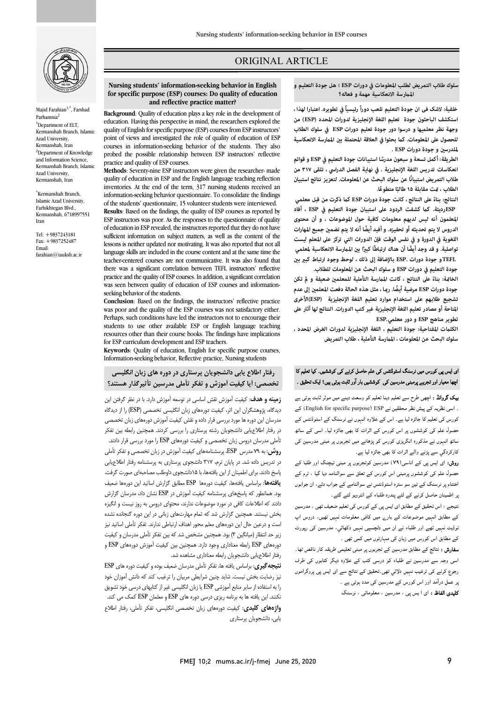

Majid Farahian<sup>1,\*</sup>, Farshad Parhamnia <sup>1</sup>Department of ELT, Kermanshah Branch, Islamic Azad University, Kermanshah, Iran <sup>2</sup>Department of Knowledge and Information Science, Kermanshah Branch, Islamic Azad University, Kermanshah, Iran

\* Kermanshah Branch, Islamic Azad University, Farhikhtegan Blvd., Kermanshah, 6718997551 Iran

Tel: +9837243181 Fax: +9837252487 Email: farahian@iauksh.ac.ir

# ORIGINAL ARTICLE

 **سلوك طلاب التمريض لطلب المعلومات في دورات ESP ؛ هل جودة التعليم و المرسة الانعكاسية مهمة و فعاله؟**

ص

 **خلفية: لاشک فی ان جودة التعليم تلعب دوراً رئيسياً في تطويره. اعتبارا لهذا ، وجهة نظر معلميها و درسوا دور جودة تعليم دورات ESP في سلوك الطلاب**  للحصول على المعلومات. كما بحثوا في العلاقة المحتملة بين الممارسة الانعكاسية **لملدرس و جودة دورات ESP . استكشف الباحثون جودة تعلیم اللغة الإنجليزية لدورات المحدد (ESP (من** 

 **و قوائم ً أكمل تسعة و سبعون مدرس ESP الطريقة: ا استبیانات جودة التعليم في انعكاسات تدريس اللغة الإنجليزية . في نهاية الفصل الدراسي ، تلقى ۳۱۷ من طالب . ً الطلاب ، ت مقابلة ۱۵ ً ا متطوعا** طلاب التمريض استبيانًا عن سلوك البحث عن المعلومات. لتعزيز نتائج استبيان

 **بناء ESP ك ذكرت من قبل معلمي ً النتائج: على النتائج ، كانت جودة دورات ESPرديئة. ك كشفت الردود على استبيان جودة التعليم في ESP ، أفاد المعلمون أنه ليس لديهم معلومات كافية حول الموضوعات ، و أن محتوى**  الدروس لا يتم تحديثه أو تحفيزه. و أفيد أيضًا أنه لا يتم تضمين جميع المهارات<br>. **ً . و قد وجد أيضا أن هناك ارتباطً ً ا كب تواصلية ا ب المرسة الانعكاسية لمعلمي** .<br>TEFLو جودة دورات .ESP بالإضافة إلى ذلك ، لوحظ وجود ارتباط كبير بيّن **جودة التعليم في دورات ESP و سلوك البحث عن المعلومات للطلاب. اللغوية في الدورة و في نفس الوقت فإن الدورات التي تركز على المعلم ليست** 

الخا<del>م</del>ّة: بناءً على النتائج ، كانت الممارسة التأملية للمعلمين ضعيفة و لم تكن **جودة دورات ESP ً مرضية أيضا. را ، مثل هذه الحالة دفعت المعلم إلى عدم المتاحة أو مصادر تعليم اللغة الإنجليزية غیر كتب الدورات. النتائج لها آثار على تطوير مناهج ESP و دور معلمي.ESP تشجيع طلابهم على استخدام موارد تعليم اللغة الإنجليزية (ESP(الأخرى** 

 **الكلت المفتاحية: جودة التعليم ، اللغة الإنجليزية لدورات الغرض المحدد ، سلوك البحث عن المعلومات ، المرسة التأملية ، طلاب التمريض**

# ای ایس پی کورس میں نرسنگ اسٹوڈنٹس کی علم حاصل کرنے کی کوششیں۔ کیا تعلیم کا ے میں بہت سے ہیں ہے۔<br>اچھا معیار اور تجربے پرمبنی مدرسین کی کوششیں بار آور ثابت ہوتی ہیں؟ ایک تحقیق ۔

**یک گروانڈ :** اچھی طرح سے تعلیم دینا تعلیم کو وسعت دینے میں موثر ثابت ہوتی ہے<br>۔ ۔ سی سریہ نے پیس سر ۔ بیتی نے جب ، رجہ ہم ہوسکہ جب ہے۔<br>کورس کی تعلیم کا جائزہ لیا ہے ۔ اس کے علاوہ انہوں نے نرسنگ کے اسٹوڈنٹس کے ل ں اس رس اات ہ ۔ ا ۔<br>ساتھ انہوں نے مذکورہ انگریزی کورس کو پڑھانے میں تجربوں پر مبنی مدرسین کی کارکردگي سے پڑنے والے اثرات کا بھی جائزہ لیا ہے۔ ۔ اسی نظریہ کے پیش نظر محققین نے English for specific purpose) کے

**روش:** ای ایس پی کے اناسی(۷۹) مدرسین کوتجربوں پر مبنی ٹیچنگ اور طلبا کے حصول علم کی کوششوں پرمبنی اس کورس کے تعلق سے سوالنامہ دیا گیا ، ٹرم کے اختتام پر نرسنگ کے تین سو سترہ اسٹوڈنٹس نے سوالنامے کے جواب دئے، ان جوابوں ہر اطمینان حاصل کرنے کے لئے پندرہ طلباء کے انٹرویو لئے گئے۔

نتیجے : اس تحقیق کے مطابق ای ایس پ*ی* کے کورس کی تعلیم ضعیف تھی ، مدرسین<br>۔ کے مطابق انہیں موضوعات کے بار<sub>ے</sub> میں کافی معلومات نہیں تھیں، دروس اپ<br>۔ ۔ مسلم ہے جس کے ساتھ ہے جس کر ہے۔<br>کے مطابق اس کورس میں زبان کی مہارتوں میں کمی تھی ۔ نوڈیٹ نہیں تھے اور طلباء نے ان میں دلچسپی نہیں دکھائي، مدرسین کی رپورٹ

۔<br>**سفارش :** نتائج کے مطابق مدرسین کے تجربوں پر مبنی تعلیمی طریقہ کار ناقص تھا۔ ۔<br>اسی وجہ سے مدرسین نے طلباء کو درسی کتب کے علاوہ دیگر کتابوں ک*ی* طرف <sub>۔</sub>جوع کرنے کی ترغیب نہیں دلائي تھی۔تحقیق کے نتائج سے ای ایس پی پروگراموں بر عمل درآمد اور اس کورس کے مدرسین کی مدد ہوتی ہے ۔

**کلیدی الفاظ :** ای ا یس پی ، مدرسین ، معلوماتی ، نرسنگ

#### **Nursing students' information-seeking behavior in English and reflective practice matter? for specific purpose (ESP) courses: Do quality of education**

Ī

 **Background**: Quality of education plays a key role in the development of education. Having this perspective in mind, the researchers explored the point of views and investigated the role of quality of education of ESP courses in information-seeking behavior of the students. They also quality of English for specific purpose (ESP) courses from ESP instructors' probed the possible relationship between ESP instructors' reflective practice and quality of ESP courses.

 **Methods**: Seventy-nine ESP instructors were given the researcher- made inventories. At the end of the term, 317 nursing students received an information-seeking behavior questionnaire. To consolidate the findings **Results**: Based on the findings, the quality of ESP courses as reported by ESP instructors was poor. As the responses to the questionnaire of quality sufficient information on subject matters, as well as the content of the lessons is neither updated nor motivating. It was also reported that not all teacher-centered courses are not communicative. It was also found that there was a significant correlation between TEFL instructors' reflective practice and the quality of EST courses. In addition, a significant correlation-<br>was seen between quality of education of ESP courses and informationquality of education in ESP and the English language teaching reflection of the students' questionnaire, 15 volunteer students were interviewed. of education in ESP revealed, the instructors reported that they do not have language skills are included in the course content and at the same time the practice and the quality of ESP courses. In addition, a significant correlation seeking behavior of the students.

**Conclusion:** Based on the findings, the instructors' reflective practice<br>was need and the guality of the ESP sentings was not estisfactory either. Perhaps, such conditions have led the instructors not to encourage their students to use other available est or english language teaching<br>resources other than their course books. The findings have implications for ESP curriculum development and ESP teachers. was poor and the quality of the ESP courses was not satisfactory either. students to use other available ESP or English language teaching

 **Keywords**: Quality of education, English for specific purpose courses, Information-seeking behavior, Reflective practice, Nursing students

# **رفتار اطلاع یابی دانشجویان پرستاري در دوره هاي زبان انگلیسی تخصصی: آیا کیفیت آموزش و تفکر تأملی مدرسین تأثیرگذار هستند؟**

 **زمینه و هدف**: کیفیت آموزش نقش اساسی در توسعه آموزش دارد. با در نظر گرفتن این دیدگاه، پژوهشگران این اثر، کیفیت دورههاي زبان انگلیسی تخصصی (ESP (را از دیدگاه در رفتار اطلاعیابی دانشجویان رشته پرستاري را بررسی کردند. همچنین رابطه بین تفکر تأملی مدرسان دروس زبان تخصصی و کیفیت دورههاي ESP را مورد بررسی قرار دادند. **روش**: به 79 مدرس ESP، پرسشنامههاي کیفیت آموزش در زبان تخصصی و تفکر تأملی در تدریس داده شد. در پایان ترم، 317 دانشجوي پرستاري به پرسشنامه رفتار اطلاعیابی پاسخ دادند. براي اطمینان از این یافتهها، با 15دانشجوي داوطلب مصاحبهاي صورت گرفت. **یافتهها**: براساس یافتهها، کیفیت دورهها ESP مطابق گزارش اساتید این دورهها ضعیف بود. همانطور که پاسخهاي پرسشنامه کیفیت آموزش در ESP نشان داد، مدرسان گزارش بخش نیستند. همچنین گزارش شد که تمام مهارتهاي زبانی در این دوره گنجانده نشده است و درعین حال این دورههاي معلم محور اهداف ارتباطی ندارند. تفکر تأملی اساتید نیز زیر حد انتظار (میانگین 3) بود. همچنین مشخص شد که بین تفکر تأملی مدرسان و کیفیت دورههاي ESP رابطه معناداري وجود دارد. همچنین بین کیفیت آموزش دورههاي ESP و رفتار اطلاعیابی دانشجویان رابطه معناداري مشاهده شد. مدرسان این دوره ها مورد بررسی قرار داده و نقش کیفیت آموزش دورههاي زبان تخصصی دادند که اطلاعات کافی در مورد موضوعات ندارند، محتواي دروس به روز نیست و انگیزه

 **نتیجهگیري**: براساس یافته ها، تفکر تأملی مدرسان ضعیف بوده و کیفیت دوره هاي ESP را به استفاده از سایر منابع آموزشی ESP یا زبان انگلیسی غیر از کتابهاي درسی خود تشویق نکنند. این یافته ها به برنامه ریزي درسی دوره هاي ESP و معلمان ESP کمک می کند. **واژههاي کلیدي**: کیفیت دورههاي زبان تخصصی انگلیسی، تفکر تأملی، رفتار اطلاع نیز رضایت بخش نیست. شاید چنین شرایطی مربیان را ترغیب کند که دانش آموزان خود یابی، دانشجویان پرستاري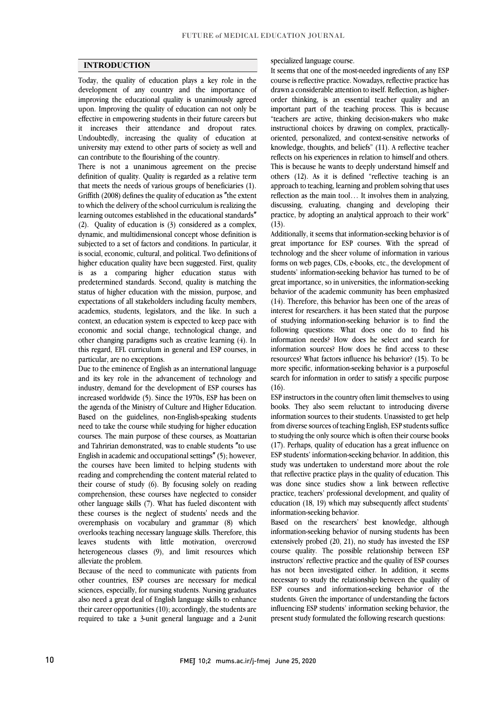## **INTRODUCTION**

 Today, the quality of education plays a key role in the development of any country and the importance of improving the educational quality is unanimously agreed upon. Improving the quality of education can not only be it increases their attendance and dropout rates. Undoubtedly, increasing the quality of education at university may extend to other parts of society as well and effective in empowering students in their future careers but can contribute to the flourishing of the country.

 There is not a unanimous agreement on the precise definition of quality. Quality is regarded as a relative term that meets the needs of various groups of beneficiaries (1). Griffith (2008) defines the quality of education as ″the extent to which the delivery of the school curriculum is realizing the (2). Quality of education is (3) considered as a complex, dynamic, and multidimensional concept whose definition is subjected to a set of factors and conditions. In particular, it is social, economic, cultural, and political. Two definitions of is as a comparing higher education status with predetermined standards. Second, quality is matching the status of higher education with the mission, purpose, and expectations of all stakeholders including faculty members, context, an education system is expected to keep pace with economic and social change, technological change, and other changing paradigms such as creative learning (4). In this regard, EFL curriculum in general and ESP courses, in learning outcomes established in the educational standards″ higher education quality have been suggested. First, quality academics, students, legislators, and the like. In such a particular, are no exceptions.

Due to the eminence of English as an international language and its key role in the advancement of technology and industry, demand for the development of ESP courses has Increased worldwide (3). Since the 1970s, ESP has been on<br>the agenda of the Ministry of Culture and Higher Education. Based on the guidelines, non-English-speaking students need to take the course while studying for higher education courses. The main purpose of these courses, as Moattarian and Tahririan demonstrated, was to enable students ″to use the courses have been limited to helping students with reading and comprehending the content material related to their course of study (6). By focusing solely on reading comprehension, these courses have neglected to consider these courses is the neglect of students' needs and the overemphasis on vocabulary and grammar (8) which overlooks teaching necessary language skills. Therefore, this leaves students with little motivation, overcrowd heterogeneous classes (9), and limit resources which<br>alleviate the problem increased worldwide (5). Since the 1970s, ESP has been on English in academic and occupational settings″(5); however, other language skills (7). What has fueled discontent with alleviate the problem.

 Because of the need to communicate with patients from other countries, ESP courses are necessary for medical also need a great deal of English language skills to enhance their career opportunities (10); accordingly, the students are required to take a 3-unit general language and a 2-unit sciences, especially, for nursing students. Nursing graduates

specialized language course.

 It seems that one of the most-needed ingredients of any ESP course is reflective practice. Nowadays, reflective practice has drawn a considerable attention to itself. Reflection, as higher- order thinking, is an essential teacher quality and an "teachers are active, thinking decision-makers who make oriented, personalized, and context-sensitive networks of knowledge, thoughts, and beliefs" (11). A reflective teacher reflects on his experiences in relation to himself and others. This is because he wants to deeply understand himself and approach to teaching, learning and problem solving that uses reflection as the main tool… It involves them in analyzing, discussing, evaluating, changing and developing their practice, by adopting an analytical approach to their work" important part of the teaching process. This is because instructional choices by drawing on complex, practicallyothers (12). As it is defined "reflective teaching is an (13).

 Additionally, it seems that information-seeking behavior is of great importance for ESP courses. With the spread of technology and the sheer volume of information in various students' information-seeking behavior has turned to be of great importance, so in universities, the information-seeking behavior of the academic community has been emphasized (14). Therefore, this behavior has been one of the areas of of studying information-seeking behavior is to find the following questions: What does one do to find his information needs? How does he select and search for information sources? How does he find access to these more specific, information-seeking behavior is a purposeful search for information in order to satisfy a specific purpose forms on web pages, CDs, e-books, etc., the development of interest for researchers. it has been stated that the purpose resources? What factors influence his behavior? (15). To be  $(16)$ .

 ESP instructors in the country often limit themselves to using information sources to their students. Unassisted to get help from diverse sources of teaching English, ESP students suffice to studying the only source which is often their course books (17). Perhaps, quality of education has a great influence on study was undertaken to understand more about the role that reflective practice plays in the quality of education. This was done since studies show a link between reflective practice, teachers' professional development, and quality of education (18, 19) which may subsequently affect students'<br>information cooling helemian books. They also seem reluctant to introducing diverse ESP students' information-seeking behavior. In addition, this information-seeking behavior.

 Based on the researchers' best knowledge, although information-seeking behavior of nursing students has been extensively probed (20, 21), no study has invested the ESP instructors' reflective practice and the quality of ESP courses has not been investigated either. In addition, it seems necessary to study the relationship between the quality of ESP courses and information-seeking behavior of the influencing ESP students' information seeking behavior, the present study formulated the following research questions: course quality. The possible relationship between ESP students. Given the importance of understanding the factors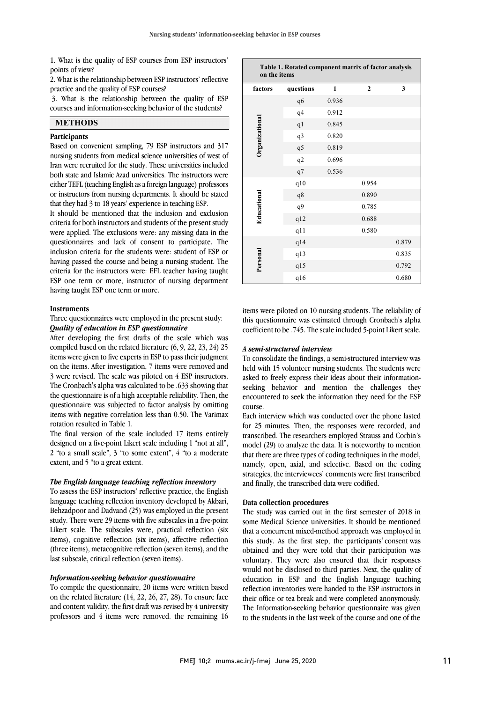1. What is the quality of ESP courses from ESP instructors' points of view?

 2. What is the relationship between ESP instructors' reflective practice and the quality of ESP courses?

 3. What is the relationship between the quality of ESP courses and information-seeking behavior of the students?

# **METHODS**

#### **Participants**

 Based on convenient sampling, 79 ESP instructors and 317 Iran were recruited for the study. These universities included both state and Islamic Azad universities. The instructors were either TEFL (teaching English as a foreign language) professors or instructors from nursing departments. It should be stated nursing students from medical science universities of west of that they had 3 to 18 years' experience in teaching ESP.

It should be mentioned that the inclusion and exclusion criteria for both instructors and students of the present study were applied. The exclusions were: any missing data in the questionnaires and lack of consent to participate. The having passed the course and being a nursing student. The criteria for the instructors were: EFL teacher having taught ESP one term or more, instructor of nursing department inclusion criteria for the students were: student of ESP or having taught ESP one term or more.

## **Instruments**

## Three questionnaires were employed in the present study: *Quality of education in ESP questionnaire*

After developing the first drafts of the scale which was  $i$  is the state of the state experts in ESP to pass their judgment on the items. After investigation, 7 items were removed and 3 were revised. The scale was piloted on 4 ESP instructors. The Cronbach's alpha was calculated to be .633 showing that questionnaire was subjected to factor analysis by omitting items with negative correlation less than 0.50. The Varimax compiled based on the related literature (6, 9, 22, 23, 24) 25 the questionnaire is of a high acceptable reliability. Then, the rotation resulted in Table 1.

 designed on a five-point Likert scale including 1 "not at all", 2 "to a small scale", 3 "to some extent", 4 "to a moderate The final version of the scale included 17 items entirely extent, and 5 "to a great extent.

#### *The English language teaching reflection inventory*

The English uniquity election of reflection inventory<br>To assess the ESP instructors' reflective practice, the English language teaching reflection inventory developed by Akbari, Behzadpoor and Dadvand (25) was employed in the present study. There were 29 items with five subscales in a five-point Likert scale. The subscales were, practical reflection (six (three items), metacognitive reflection (seven items), and the items), cognitive reflection (six items), affective reflection last subscale, critical reflection (seven items).

## *Information-seeking behavior questionnaire*

 To compile the questionnaire, 20 items were written based on the related literature  $(14, 22, 26, 27, 28)$ . To ensure face and content validity, the first draft was revised by 4 university professors and 4 items were removed. the remaining 16

| Table 1. Rotated component matrix of factor analysis<br>on the items |                |              |              |       |  |  |
|----------------------------------------------------------------------|----------------|--------------|--------------|-------|--|--|
| factors                                                              | questions      | $\mathbf{1}$ | $\mathbf{2}$ | 3     |  |  |
|                                                                      | q6             | 0.936        |              |       |  |  |
|                                                                      | q <sub>4</sub> | 0.912        |              |       |  |  |
|                                                                      | q <sub>1</sub> | 0.845        |              |       |  |  |
| Organizational                                                       | q3             | 0.820        |              |       |  |  |
|                                                                      | q5             | 0.819        |              |       |  |  |
|                                                                      | q2             | 0.696        |              |       |  |  |
|                                                                      | q7             | 0.536        |              |       |  |  |
|                                                                      | q10            |              | 0.954        |       |  |  |
|                                                                      | q8             |              | 0.890        |       |  |  |
| Educational                                                          | q9             |              | 0.785        |       |  |  |
|                                                                      | q12            |              | 0.688        |       |  |  |
|                                                                      | q11            |              | 0.580        |       |  |  |
|                                                                      | q14            |              |              | 0.879 |  |  |
|                                                                      | q13            |              |              | 0.835 |  |  |
| Personal                                                             | q15            |              |              | 0.792 |  |  |
|                                                                      | q16            |              |              | 0.680 |  |  |

 items were piloted on 10 nursing students. The reliability of this questionnaire was estimated through Cronbach's alpha coefficient to be .745. The scale included 5-point Likert scale.

#### *A semi-structured interview*

 To consolidate the findings, a semi-structured interview was held with 15 volunteer nursing students. The students were asked to freely express their ideas about their information- seeking behavior and mention the challenges they encountered to seek the information they need for the ESP course.

 Each interview which was conducted over the phone lasted for 25 minutes. Then, the responses were recorded, and transcribed. The researchers employed Strauss and Corbin's that there are three types of coding techniques in the model, namely, open, axial, and selective. Based on the coding strategies, the interviewees' comments were first transcribed model (29) to analyze the data. It is noteworthy to mention and finally, the transcribed data were codified.

#### **Data collection procedures**

 The study was carried out in the first semester of 2018 in some Medical Science universities. It should be mentioned that a concurrent mixed-method approach was employed in obtained and they were told that their participation was voluntary. They were also ensured that their responses would not be disclosed to third parties. Next, the quality of education in ESP and the English language teaching their office or tea break and were completed anonymously. The Information-seeking behavior questionnaire was given to the students in the last week of the course and one of the this study. As the first step, the participants*'* consent was reflection inventories were handed to the ESP instructors in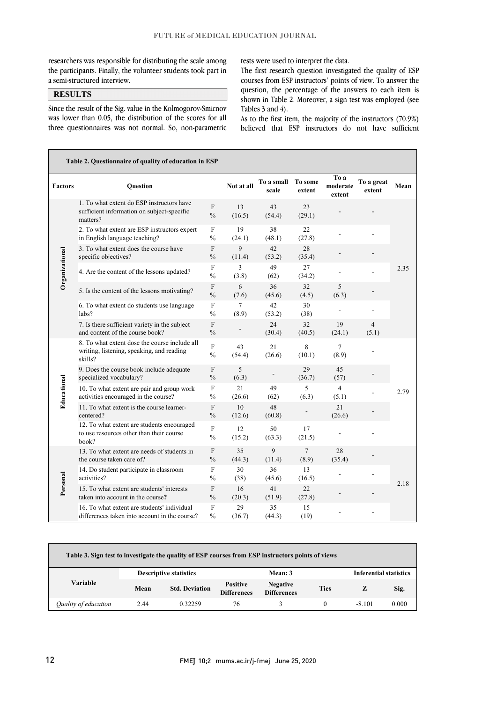$\overline{a}$ 

researchers was responsible for distributing the scale among the participants. Finally, the volunteer students took part in a semi-structured interview.

# **RESULTS**

Since the result of the Sig. value in the Kolmogorov-Smirnov was lower than 0.05, the distribution of the scores for all three questionnaires was not normal. So, non-parametric tests were used to interpret the data.

 courses from ESP instructors' points of view. To answer the question, the percentage of the answers to each item is shown in Table 2. Moreover, a sign test was employed (see Tables  $3$  and  $4$ ). The first research question investigated the quality of ESP

believed that ESP instructors do not have sufficient As to the first item, the majority of the instructors (70.9%)

| Table 2. Questionnaire of quality of education in ESP |                                                                                                       |                                            |                 |                     |                   |                            |                         |      |  |
|-------------------------------------------------------|-------------------------------------------------------------------------------------------------------|--------------------------------------------|-----------------|---------------------|-------------------|----------------------------|-------------------------|------|--|
| <b>Factors</b>                                        | Question                                                                                              |                                            | Not at all      | To a small<br>scale | To some<br>extent | To a<br>moderate<br>extent | To a great<br>extent    | Mean |  |
| Organizational                                        | 1. To what extent do ESP instructors have<br>sufficient information on subject-specific<br>matters?   | F<br>$\frac{0}{0}$                         | 13<br>(16.5)    | 43<br>(54.4)        | 23<br>(29.1)      |                            |                         |      |  |
|                                                       | 2. To what extent are ESP instructors expert<br>in English language teaching?                         | F<br>$\frac{0}{0}$                         | 19<br>(24.1)    | 38<br>(48.1)        | 22<br>(27.8)      |                            |                         |      |  |
|                                                       | 3. To what extent does the course have<br>specific objectives?                                        | $\mathbf{F}$<br>$\frac{0}{0}$              | 9<br>(11.4)     | 42<br>(53.2)        | 28<br>(35.4)      |                            |                         |      |  |
|                                                       | 4. Are the content of the lessons updated?                                                            | F<br>$\frac{0}{0}$                         | 3<br>(3.8)      | 49<br>(62)          | 27<br>(34.2)      |                            |                         | 2.35 |  |
|                                                       | 5. Is the content of the lessons motivating?                                                          | F<br>$\frac{0}{0}$                         | 6<br>(7.6)      | 36<br>(45.6)        | 32<br>(4.5)       | 5<br>(6.3)                 |                         |      |  |
|                                                       | 6. To what extent do students use language<br>labs?                                                   | $\boldsymbol{\mathrm{F}}$<br>$\frac{0}{0}$ | $\tau$<br>(8.9) | 42<br>(53.2)        | 30<br>(38)        |                            |                         |      |  |
|                                                       | 7. Is there sufficient variety in the subject<br>and content of the course book?                      | $\boldsymbol{\mathrm{F}}$<br>$\frac{0}{0}$ |                 | 24<br>(30.4)        | 32<br>(40.5)      | 19<br>(24.1)               | $\overline{4}$<br>(5.1) |      |  |
| Educational                                           | 8. To what extent dose the course include all<br>writing, listening, speaking, and reading<br>skills? | $\rm F$<br>$\frac{0}{0}$                   | 43<br>(54.4)    | 21<br>(26.6)        | 8<br>(10.1)       | $\overline{7}$<br>(8.9)    |                         | 2.79 |  |
|                                                       | 9. Does the course book include adequate<br>specialized vocabulary?                                   | F<br>$\frac{0}{0}$                         | 5<br>(6.3)      |                     | 29<br>(36.7)      | 45<br>(57)                 |                         |      |  |
|                                                       | 10. To what extent are pair and group work<br>activities encouraged in the course?                    | $\mathbf F$<br>$\frac{0}{0}$               | 21<br>(26.6)    | 49<br>(62)          | 5<br>(6.3)        | $\overline{4}$<br>(5.1)    |                         |      |  |
|                                                       | 11. To what extent is the course learner-<br>centered?                                                | $\rm F$<br>$\frac{0}{0}$                   | 10<br>(12.6)    | 48<br>(60.8)        |                   | 21<br>(26.6)               |                         |      |  |
|                                                       | 12. To what extent are students encouraged<br>to use resources other than their course<br>book?       | $\mathbf F$<br>$\frac{0}{0}$               | 12<br>(15.2)    | 50<br>(63.3)        | 17<br>(21.5)      |                            |                         |      |  |
| Personal                                              | 13. To what extent are needs of students in<br>the course taken care of?                              | $\mathbf F$<br>$\frac{0}{0}$               | 35<br>(44.3)    | 9<br>(11.4)         | $\tau$<br>(8.9)   | 28<br>(35.4)               |                         | 2.18 |  |
|                                                       | 14. Do student participate in classroom<br>activities?                                                | F<br>$\%$                                  | 30<br>(38)      | 36<br>(45.6)        | 13<br>(16.5)      |                            |                         |      |  |
|                                                       | 15. To what extent are students' interests<br>taken into account in the course?                       | F<br>$\frac{0}{0}$                         | 16<br>(20.3)    | 41<br>(51.9)        | 22<br>(27.8)      |                            |                         |      |  |
|                                                       | 16. To what extent are students' individual<br>differences taken into account in the course?          | $\mathbf F$<br>$\frac{0}{0}$               | 29<br>(36.7)    | 35<br>(44.3)        | 15<br>(19)        |                            |                         |      |  |

| Table 3. Sign test to investigate the quality of ESP courses from ESP instructors points of views |                               |                       |                                       |                                       |             |                               |       |
|---------------------------------------------------------------------------------------------------|-------------------------------|-----------------------|---------------------------------------|---------------------------------------|-------------|-------------------------------|-------|
| <b>Variable</b>                                                                                   | <b>Descriptive statistics</b> |                       |                                       | Mean: 3                               |             | <b>Inferential statistics</b> |       |
|                                                                                                   | Mean                          | <b>Std. Deviation</b> | <b>Positive</b><br><b>Differences</b> | <b>Negative</b><br><b>Differences</b> | <b>Ties</b> | z                             | Sig.  |
| Quality of education                                                                              | 2.44                          | 0.32259               | 76                                    |                                       | $^{(1)}$    | $-8.101$                      | 0.000 |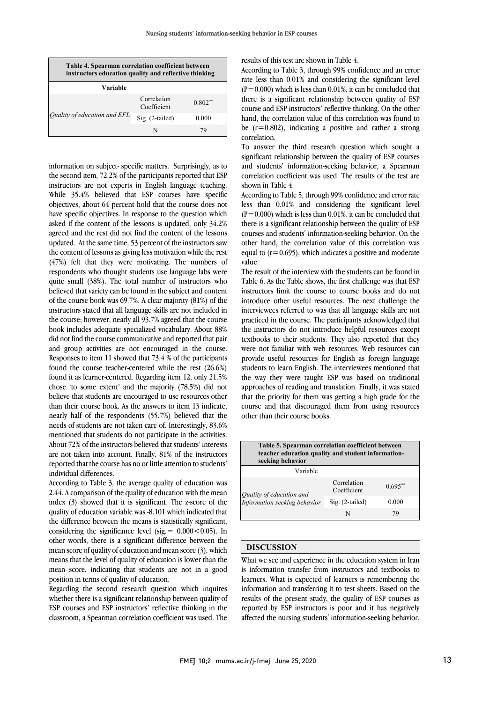| Table 4. Spearman correlation coefficient between<br>instructors education quality and reflective thinking |                            |           |  |  |  |
|------------------------------------------------------------------------------------------------------------|----------------------------|-----------|--|--|--|
| Variable                                                                                                   |                            |           |  |  |  |
|                                                                                                            | Correlation<br>Coefficient | $0.802**$ |  |  |  |
| Quality of education and EFL                                                                               | $Sig. (2-tailed)$          | 0.000     |  |  |  |
|                                                                                                            | N                          | 79        |  |  |  |

information on subject- specific matters. Surprisingly, as to the second item, 72.2% of the participants reported that ESP instructors are not experts in English language teaching. While 35.4% believed that ESP courses have specific objectives, about 64 percent hold that the course does not have specific objectives. In response to the question which asked if the content of the lessons is updated, only 34.2% agreed and the rest did not find the content of the lessons updated. At the same time, 53 percent of the instructors saw the content of lessons as giving less motivation while the rest (47%) felt that they were motivating. The numbers of respondents who thought students use language labs were quite small (38%). The total number of instructors who believed that variety can be found in the subject and content of the course book was 69.7%. A clear majority (81%) of the instructors stated that all language skills are not included in the course; however, nearly all 93.7% agreed that the course book includes adequate specialized vocabulary. About 88% did not find the course communicative and reported that pair and group activities are not encouraged in the course. Responses to item 11 showed that 73.4 % of the participants found the course teacher-centered while the rest (26.6%) found it as learner-centered. Regarding item 12, only 21.5% chose 'to some extent' and the majority (78.5%) did not believe that students are encouraged to use resources other than their course book. As the answers to item 13 indicate, nearly half of the respondents (55.7%) believed that the needs of students are not taken care of. Interestingly, 83.6% mentioned that students do not participate in the activities. About 72% of the instructors believed that students' interests are not taken into account. Finally, 81% of the instructors reported that the course has no or little attention to students' individual differences.

According to Table 3, the average quality of education was 2.44. A comparison of the quality of education with the mean index (3) showed that it is significant. The z-score of the quality of education variable was -8.101 which indicated that the difference between the means is statistically significant, considering the significance level (sig.  $= 0.000 < 0.05$ ). In other words, there is a significant difference between the mean score of quality of education and mean score (3), which means that the level of quality of education is lower than the mean score, indicating that students are not in a good position in terms of quality of education.

Regarding the second research question which inquires whether there is a significant relationship between quality of ESP courses and ESP instructors' reflective thinking in the classroom, a Spearman correlation coefficient was used. The results of this test are shown in Table 4.

According to Table 3, through 99% confidence and an error rate less than 0.01% and considering the significant level  $(P=0.000)$  which is less than 0.01%, it can be concluded that there is a significant relationship between quality of ESP course and ESP instructors' reflective thinking. On the other hand, the correlation value of this correlation was found to be  $(r=0.802)$ , indicating a positive and rather a strong correlation.

To answer the third research question which sought a significant relationship between the quality of ESP courses and students' information-seeking behavior, a Spearman correlation coefficient was used. The results of the test are shown in Table 4.

According to Table 5, through 99% confidence and error rate less than 0.01% and considering the significant level  $(P=0.000)$  which is less than 0.01%. it can be concluded that there is a significant relationship between the quality of ESP courses and students' information-seeking behavior. On the other hand, the correlation value of this correlation was equal to  $(r=0.695)$ , which indicates a positive and moderate value.

The result of the interview with the students can be found in Table 6. As the Table shows, the first challenge was that ESP instructors limit the course to course books and do not introduce other useful resources. The next challenge the interviewees referred to was that all language skills are not practiced in the course. The participants acknowledged that the instructors do not introduce helpful resources except textbooks to their students. They also reported that they were not familiar with web resources. Web resources can provide useful resources for English as foreign language students to learn English. The interviewees mentioned that the way they were taught ESP was based on traditional approaches of reading and translation. Finally, it was stated that the priority for them was getting a high grade for the course and that discouraged them from using resources other than their course books.

| Table 5. Spearman correlation coefficient between<br>teacher education quality and student information-<br>seeking behavior |                            |            |  |  |  |
|-----------------------------------------------------------------------------------------------------------------------------|----------------------------|------------|--|--|--|
| Variable                                                                                                                    |                            |            |  |  |  |
|                                                                                                                             | Correlation<br>Coefficient | $0.695***$ |  |  |  |
| Quality of education and<br>Information seeking behavior                                                                    | $Sig. (2-tailed)$          | 0.000      |  |  |  |
|                                                                                                                             |                            | 79         |  |  |  |

## **DISCUSSION**

What we see and experience in the education system in Iran is information transfer from instructors and textbooks to learners. What is expected of learners is remembering the information and transferring it to test sheets. Based on the results of the present study, the quality of ESP courses as reported by ESP instructors is poor and it has negatively affected the nursing students' information-seeking behavior.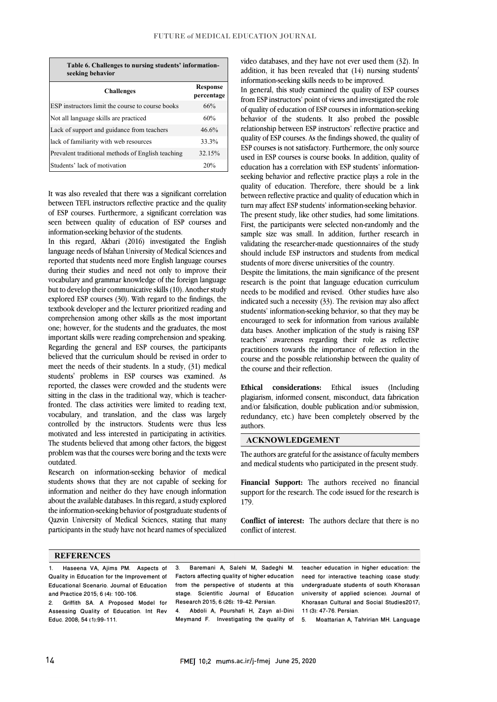**Table 6. Challenges to nursing students' informationseeking behavior**

| <b>Challenges</b>                                 | <b>Response</b><br>percentage |
|---------------------------------------------------|-------------------------------|
| ESP instructors limit the course to course books  | 66%                           |
| Not all language skills are practiced             | 60%                           |
| Lack of support and guidance from teachers        | 46.6%                         |
| lack of familiarity with web resources            | 33.3%                         |
| Prevalent traditional methods of English teaching | 32.15%                        |
| Students' lack of motivation                      | 20%                           |

It was also revealed that there was a significant correlation between TEFL instructors reflective practice and the quality of ESP courses. Furthermore, a significant correlation was seen between quality of education of ESP courses and information-seeking behavior of the students.

In this regard, Akbari (2016) investigated the English language needs of Isfahan University of Medical Sciences and reported that students need more English language courses during their studies and need not only to improve their vocabulary and grammar knowledge of the foreign language but to develop their communicative skills (10). Another study explored ESP courses (30). With regard to the findings, the textbook developer and the lecturer prioritized reading and comprehension among other skills as the most important one; however, for the students and the graduates, the most important skills were reading comprehension and speaking. Regarding the general and ESP courses, the participants believed that the curriculum should be revised in order to meet the needs of their students. In a study, (31) medical students' problems in ESP courses was examined. As reported, the classes were crowded and the students were sitting in the class in the traditional way, which is teacherfronted. The class activities were limited to reading text, vocabulary, and translation, and the class was largely controlled by the instructors. Students were thus less motivated and less interested in participating in activities. The students believed that among other factors, the biggest problem was that the courses were boring and the texts were outdated.

Research on information-seeking behavior of medical students shows that they are not capable of seeking for information and neither do they have enough information about the available databases. In this regard, a study explored the information-seeking behavior of postgraduate students of Qazvin University of Medical Sciences, stating that many participants in the study have not heard names of specialized

video databases, and they have not ever used them (32). In addition, it has been revealed that (14) nursing students' information-seeking skills needs to be improved.

In general, this study examined the quality of ESP courses from ESP instructors' point of views and investigated the role of quality of education of ESP courses in information-seeking behavior of the students. It also probed the possible relationship between ESP instructors' reflective practice and quality of ESP courses. As the findings showed, the quality of ESP courses is not satisfactory. Furthermore, the only source used in ESP courses is course books. In addition, quality of education has a correlation with ESP students' informationseeking behavior and reflective practice plays a role in the quality of education. Therefore, there should be a link between reflective practice and quality of education which in turn may affect ESP students' information-seeking behavior. The present study, like other studies, had some limitations. First, the participants were selected non-randomly and the sample size was small. In addition, further research in validating the researcher-made questionnaires of the study should include ESP instructors and students from medical students of more diverse universities of the country.

Despite the limitations, the main significance of the present research is the point that language education curriculum needs to be modified and revised. Other studies have also indicated such a necessity (33). The revision may also affect students' information-seeking behavior, so that they may be encouraged to seek for information from various available data bases. Another implication of the study is raising ESP teachers' awareness regarding their role as reflective practitioners towards the importance of reflection in the course and the possible relationship between the quality of the course and their reflection.

**Ethical considerations:** Ethical issues (Including plagiarism, informed consent, misconduct, data fabrication and/or falsification, double publication and/or submission, redundancy, etc.) have been completely observed by the authors.

# **ACKNOWLEDGEMENT**

The authors are grateful for the assistance of faculty members and medical students who participated in the present study.

**Financial Support:** The authors received no financial support for the research. The code issued for the research is 179.

**Conflict of interest:** The authors declare that there is no conflict of interest.

#### **REFERENCES**

- 1. Haseena VA, Ajims PM. Aspects of Quality in Education for the Improvement of Educational Scenario. Journal of Education and Practice 2015; 6 (4): 100-106.
- 2. Griffith SA. A Proposed Model for Assessing Quality of Education. Int Rev Educ. 2008; 54 (1):99-111.

3. Baremani A, Salehi M, Sadeghi M. Factors affecting quality of higher education from the perspective of students at this stage. Scientific Journal of Education Research 2015; 6 (26): 19-42. Persian.

4. Abdoli A, Pourshafi H, Zayn al-Dini Meymand F. Investigating the quality of

teacher education in higher education: the need for interactive teaching (case study: undergraduate students of south Khorasan university of applied science). Journal of Khorasan Cultural and Social Studies2017; 11 (3): 47-76. Persian.

5. Moattarian A, Tahririan MH. Language